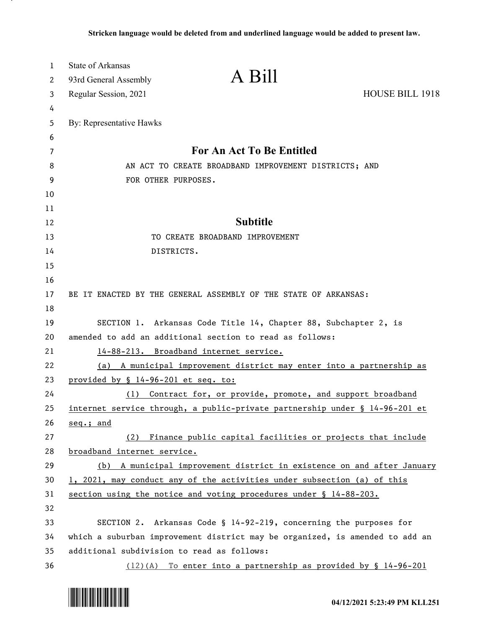| $\mathbf{1}$ | <b>State of Arkansas</b>                   |                                                                              |                        |
|--------------|--------------------------------------------|------------------------------------------------------------------------------|------------------------|
| 2            | 93rd General Assembly                      | A Bill                                                                       |                        |
| 3            | Regular Session, 2021                      |                                                                              | <b>HOUSE BILL 1918</b> |
| 4            |                                            |                                                                              |                        |
| 5            | By: Representative Hawks                   |                                                                              |                        |
| 6            |                                            |                                                                              |                        |
| 7            |                                            | For An Act To Be Entitled                                                    |                        |
| 8            |                                            | AN ACT TO CREATE BROADBAND IMPROVEMENT DISTRICTS; AND                        |                        |
| 9            | FOR OTHER PURPOSES.                        |                                                                              |                        |
| 10           |                                            |                                                                              |                        |
| 11           |                                            |                                                                              |                        |
| 12           |                                            | <b>Subtitle</b>                                                              |                        |
| 13           |                                            | TO CREATE BROADBAND IMPROVEMENT                                              |                        |
| 14           | DISTRICTS.                                 |                                                                              |                        |
| 15<br>16     |                                            |                                                                              |                        |
| 17           |                                            | BE IT ENACTED BY THE GENERAL ASSEMBLY OF THE STATE OF ARKANSAS:              |                        |
| 18           |                                            |                                                                              |                        |
| 19           |                                            | SECTION 1. Arkansas Code Title 14, Chapter 88, Subchapter 2, is              |                        |
| 20           |                                            | amended to add an additional section to read as follows:                     |                        |
| 21           |                                            | 14-88-213. Broadband internet service.                                       |                        |
| 22           |                                            | (a) A municipal improvement district may enter into a partnership as         |                        |
| 23           | provided by § 14-96-201 et seq. to:        |                                                                              |                        |
| 24           | (1)                                        | Contract for, or provide, promote, and support broadband                     |                        |
| 25           |                                            | internet service through, a public-private partnership under § 14-96-201 et  |                        |
| 26           | seq.; and                                  |                                                                              |                        |
| 27           |                                            | (2) Finance public capital facilities or projects that include               |                        |
| 28           | broadband internet service.                |                                                                              |                        |
| 29           |                                            | (b) A municipal improvement district in existence on and after January       |                        |
| 30           |                                            | 1, 2021, may conduct any of the activities under subsection (a) of this      |                        |
| 31           |                                            | section using the notice and voting procedures under § 14-88-203.            |                        |
| 32           |                                            |                                                                              |                        |
| 33           |                                            | SECTION 2. Arkansas Code § 14-92-219, concerning the purposes for            |                        |
| 34           |                                            | which a suburban improvement district may be organized, is amended to add an |                        |
| 35           | additional subdivision to read as follows: |                                                                              |                        |
| 36           |                                            | $(12)(A)$ To enter into a partnership as provided by § 14-96-201             |                        |

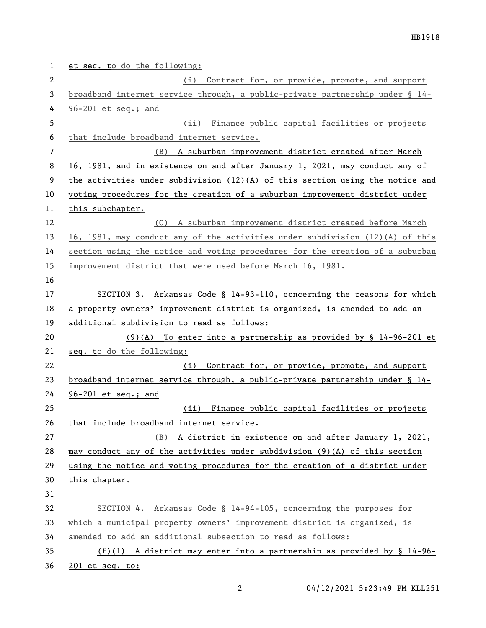et seq. to do the following: (i) Contract for, or provide, promote, and support broadband internet service through, a public-private partnership under § 14- 96-201 et seq.; and (ii) Finance public capital facilities or projects that include broadband internet service. (B) A suburban improvement district created after March 16, 1981, and in existence on and after January 1, 2021, may conduct any of the activities under subdivision (12)(A) of this section using the notice and voting procedures for the creation of a suburban improvement district under this subchapter. (C) A suburban improvement district created before March 16, 1981, may conduct any of the activities under subdivision (12)(A) of this section using the notice and voting procedures for the creation of a suburban improvement district that were used before March 16, 1981. SECTION 3. Arkansas Code § 14-93-110, concerning the reasons for which a property owners' improvement district is organized, is amended to add an additional subdivision to read as follows: (9)(A) To enter into a partnership as provided by § 14-96-201 et seq. to do the following: (i) Contract for, or provide, promote, and support broadband internet service through, a public-private partnership under § 14- 96-201 et seq.; and (ii) Finance public capital facilities or projects 26 that include broadband internet service. (B) A district in existence on and after January 1, 2021, may conduct any of the activities under subdivision (9)(A) of this section using the notice and voting procedures for the creation of a district under this chapter. SECTION 4. Arkansas Code § 14-94-105, concerning the purposes for which a municipal property owners' improvement district is organized, is amended to add an additional subsection to read as follows: (f)(1) A district may enter into a partnership as provided by § 14-96- 201 et seq. to: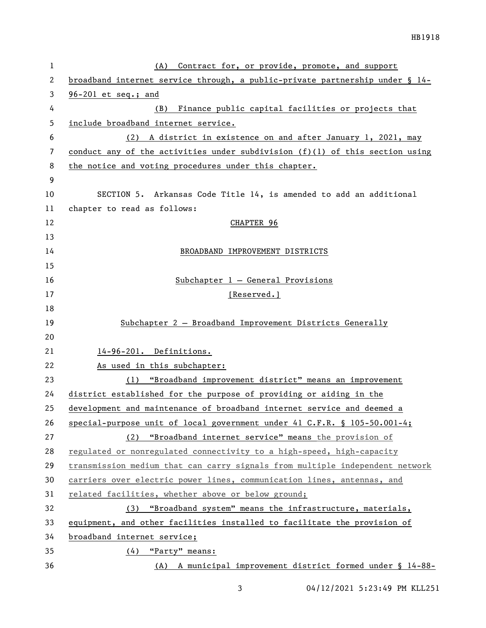| 1  | Contract for, or provide, promote, and support<br>(A)                        |  |  |
|----|------------------------------------------------------------------------------|--|--|
| 2  | broadband internet service through, a public-private partnership under § 14- |  |  |
| 3  | $96-201$ et seq.; and                                                        |  |  |
| 4  | Finance public capital facilities or projects that<br>(B)                    |  |  |
| 5  | include broadband internet service.                                          |  |  |
| 6  | A district in existence on and after January 1, 2021, may<br>(2)             |  |  |
| 7  | conduct any of the activities under subdivision (f)(1) of this section using |  |  |
| 8  | the notice and voting procedures under this chapter.                         |  |  |
| 9  |                                                                              |  |  |
| 10 | SECTION 5. Arkansas Code Title 14, is amended to add an additional           |  |  |
| 11 | chapter to read as follows:                                                  |  |  |
| 12 | CHAPTER 96                                                                   |  |  |
| 13 |                                                                              |  |  |
| 14 | BROADBAND IMPROVEMENT DISTRICTS                                              |  |  |
| 15 |                                                                              |  |  |
| 16 | $Subchapter 1 - General Provisions$                                          |  |  |
| 17 | [Reserved.]                                                                  |  |  |
| 18 |                                                                              |  |  |
| 19 | Subchapter 2 - Broadband Improvement Districts Generally                     |  |  |
| 20 |                                                                              |  |  |
| 21 | 14-96-201. Definitions.                                                      |  |  |
| 22 | As used in this subchapter:                                                  |  |  |
| 23 | (1) "Broadband improvement district" means an improvement                    |  |  |
| 24 | district established for the purpose of providing or aiding in the           |  |  |
| 25 | development and maintenance of broadband internet service and deemed a       |  |  |
| 26 | special-purpose unit of local government under 41 $C.F.R. \S 105-50.001-4;$  |  |  |
| 27 | (2) "Broadband internet service" means the provision of                      |  |  |
| 28 | regulated or nonregulated connectivity to a high-speed, high-capacity        |  |  |
| 29 | transmission medium that can carry signals from multiple independent network |  |  |
| 30 | carriers over electric power lines, communication lines, antennas, and       |  |  |
| 31 | related facilities, whether above or below ground;                           |  |  |
| 32 | (3) "Broadband system" means the infrastructure, materials,                  |  |  |
| 33 | equipment, and other facilities installed to facilitate the provision of     |  |  |
| 34 | broadband internet service;                                                  |  |  |
| 35 | $(4)$ "Party" means:                                                         |  |  |
| 36 | (A) A municipal improvement district formed under § 14-88-                   |  |  |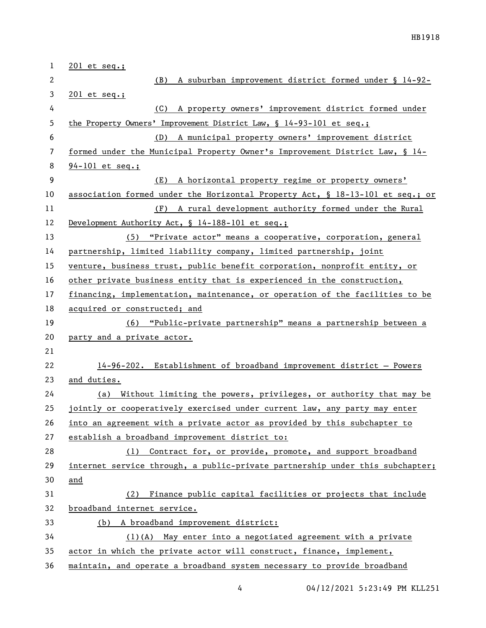| $\mathbf{1}$   | $201$ et seq.;                                                                |  |
|----------------|-------------------------------------------------------------------------------|--|
| 2              | A suburban improvement district formed under § 14-92-<br>(B)                  |  |
| 3              | $201$ et seq.;                                                                |  |
| 4              | A property owners' improvement district formed under<br>(C)                   |  |
| 5              | the Property Owners' Improvement District Law, $\S$ 14-93-101 et seq.;        |  |
| 6              | (D) A municipal property owners' improvement district                         |  |
| 7              | formed under the Municipal Property Owner's Improvement District Law, § 14-   |  |
| 8              | $94 - 101$ et seq.;                                                           |  |
| $\overline{9}$ | (E) A horizontal property regime or property owners'                          |  |
| 10             | association formed under the Horizontal Property Act, § 18-13-101 et seq.; or |  |
| 11             | (F) A rural development authority formed under the Rural                      |  |
| 12             | Development Authority Act, § 14-188-101 et seq.;                              |  |
| 13             | (5) "Private actor" means a cooperative, corporation, general                 |  |
| 14             | partnership, limited liability company, limited partnership, joint            |  |
| 15             | venture, business trust, public benefit corporation, nonprofit entity, or     |  |
| 16             | other private business entity that is experienced in the construction,        |  |
| 17             | financing, implementation, maintenance, or operation of the facilities to be  |  |
| 18             | acquired or constructed; and                                                  |  |
| 19             | (6) "Public-private partnership" means a partnership between a                |  |
| 20             | party and a private actor.                                                    |  |
| 21             |                                                                               |  |
| 22             | 14-96-202. Establishment of broadband improvement district - Powers           |  |
| 23             | and duties.                                                                   |  |
| 24             | (a) Without limiting the powers, privileges, or authority that may be         |  |
| 25             | jointly or cooperatively exercised under current law, any party may enter     |  |
| 26             | into an agreement with a private actor as provided by this subchapter to      |  |
| 27             | establish a broadband improvement district to:                                |  |
| 28             | Contract for, or provide, promote, and support broadband<br>(1)               |  |
| 29             | internet service through, a public-private partnership under this subchapter; |  |
| 30             | and                                                                           |  |
| 31             | Finance public capital facilities or projects that include<br>(2)             |  |
| 32             | broadband internet service.                                                   |  |
| 33             | (b) A broadband improvement district:                                         |  |
| 34             | $(1)(A)$ May enter into a negotiated agreement with a private                 |  |
| 35             | actor in which the private actor will construct, finance, implement,          |  |
| 36             | maintain, and operate a broadband system necessary to provide broadband       |  |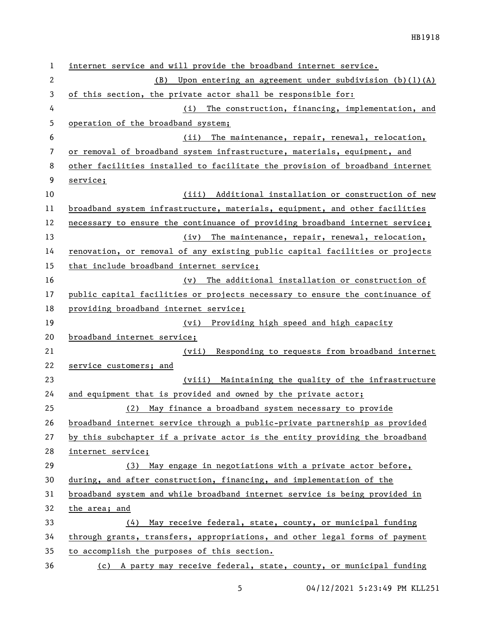| 1              | internet service and will provide the broadband internet service.            |
|----------------|------------------------------------------------------------------------------|
| $\mathbf{2}$   | Upon entering an agreement under subdivision $(b)(1)(A)$<br>(B)              |
| 3              | of this section, the private actor shall be responsible for:                 |
| 4              | The construction, financing, implementation, and<br>(i)                      |
| 5              | operation of the broadband system;                                           |
| 6              | The maintenance, repair, renewal, relocation,<br>(ii)                        |
| $\overline{7}$ | or removal of broadband system infrastructure, materials, equipment, and     |
| 8              | other facilities installed to facilitate the provision of broadband internet |
| 9              | service;                                                                     |
| 10             | (iii) Additional installation or construction of new                         |
| 11             | broadband system infrastructure, materials, equipment, and other facilities  |
| 12             | necessary to ensure the continuance of providing broadband internet service; |
| 13             | The maintenance, repair, renewal, relocation,<br>(iv)                        |
| 14             | renovation, or removal of any existing public capital facilities or projects |
| 15             | that include broadband internet service;                                     |
| 16             | The additional installation or construction of<br>(v)                        |
| 17             | public capital facilities or projects necessary to ensure the continuance of |
| 18             | providing broadband internet service;                                        |
| 19             | (vi) Providing high speed and high capacity                                  |
| 20             | broadband internet service;                                                  |
| 21             | Responding to requests from broadband internet<br>(vii)                      |
| 22             | service customers; and                                                       |
| 23             | (viii) Maintaining the quality of the infrastructure                         |
| 24             | and equipment that is provided and owned by the private actor;               |
| 25             | May finance a broadband system necessary to provide<br>(2)                   |
| 26             | broadband internet service through a public-private partnership as provided  |
| 27             | by this subchapter if a private actor is the entity providing the broadband  |
| 28             | internet service;                                                            |
| 29             | May engage in negotiations with a private actor before,<br>(3)               |
| 30             | during, and after construction, financing, and implementation of the         |
| 31             | broadband system and while broadband internet service is being provided in   |
| 32             | the area; and                                                                |
| 33             | May receive federal, state, county, or municipal funding<br>(4)              |
| 34             | through grants, transfers, appropriations, and other legal forms of payment  |
| 35             | to accomplish the purposes of this section.                                  |
| 36             | (c) A party may receive federal, state, county, or municipal funding         |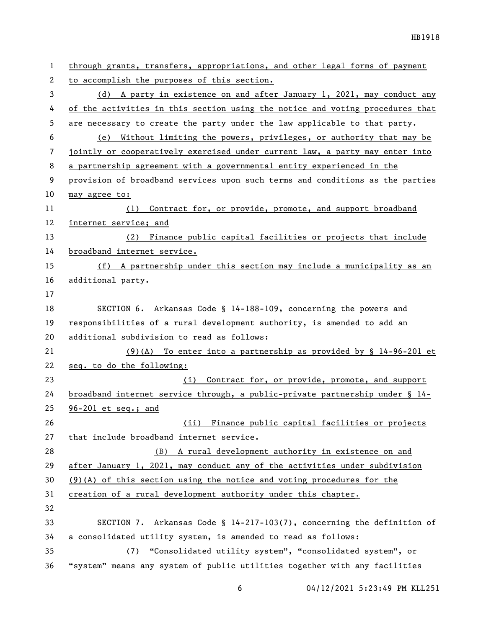| $\mathbf{1}$ | through grants, transfers, appropriations, and other legal forms of payment   |
|--------------|-------------------------------------------------------------------------------|
| 2            | to accomplish the purposes of this section.                                   |
| 3            | (d) A party in existence on and after January 1, 2021, may conduct any        |
| 4            | of the activities in this section using the notice and voting procedures that |
| 5            | are necessary to create the party under the law applicable to that party.     |
| 6            | Without limiting the powers, privileges, or authority that may be<br>(e)      |
| 7            | jointly or cooperatively exercised under current law, a party may enter into  |
| 8            | a partnership agreement with a governmental entity experienced in the         |
| 9            | provision of broadband services upon such terms and conditions as the parties |
| 10           | may agree to:                                                                 |
| 11           | Contract for, or provide, promote, and support broadband<br>(1)               |
| 12           | internet service; and                                                         |
| 13           | (2) Finance public capital facilities or projects that include                |
| 14           | broadband internet service.                                                   |
| 15           | (f) A partnership under this section may include a municipality as an         |
| 16           | additional party.                                                             |
| 17           |                                                                               |
| 18           | SECTION 6. Arkansas Code § 14-188-109, concerning the powers and              |
| 19           | responsibilities of a rural development authority, is amended to add an       |
| 20           | additional subdivision to read as follows:                                    |
| 21           | $(9)(A)$ To enter into a partnership as provided by § 14-96-201 et            |
| 22           | seq. to do the following:                                                     |
| 23           | Contract for, or provide, promote, and support<br>(i)                         |
| 24           | broadband internet service through, a public-private partnership under § 14-  |
| 25           | $96-201$ et seq.; and                                                         |
| 26           | (ii) Finance public capital facilities or projects                            |
| 27           | that include broadband internet service.                                      |
| 28           | (B) A rural development authority in existence on and                         |
| 29           | after January 1, 2021, may conduct any of the activities under subdivision    |
| 30           | $(9)(A)$ of this section using the notice and voting procedures for the       |
| 31           | creation of a rural development authority under this chapter.                 |
| 32           |                                                                               |
| 33           | SECTION 7. Arkansas Code § $14-217-103(7)$ , concerning the definition of     |
| 34           | a consolidated utility system, is amended to read as follows:                 |
| 35           | "Consolidated utility system", "consolidated system", or<br>(7)               |
| 36           | "system" means any system of public utilities together with any facilities    |